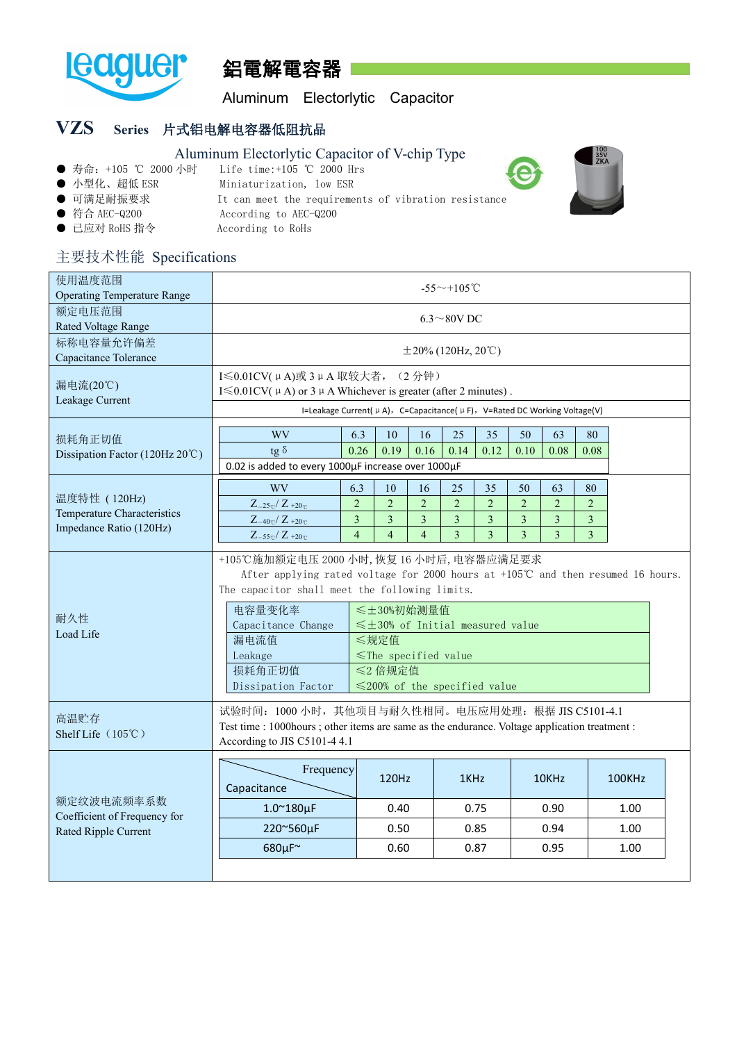

# 鋁電解電容器

Aluminum Electorlytic Capacitor

# **VZS Series** 片式铝电解电容器低阻抗品

#### Aluminum Electorlytic Capacitor of V-chip Type<br>● 寿命: +105 ℃ 2000 小时 Life time:+105 ℃ 2000 Hrs Life time:+105 ℃ 2000 Hrs ● 小型化、超低 ESR Miniaturization, low ESR ● 可满足耐振要求 **It can meet the requirements of vibration resistance** ● 符合 AEC-Q200 According to AEC-Q200 ● 已应对 RoHS 指令 <br>
According to RoHs

### 主要技术性能 Specifications

| 使用温度范围<br><b>Operating Temperature Range</b>                           | $-55 \sim +105$ °C                                                                                                                                                                                                                                                                                                                                                                                                       |                                                                                                                       |                                                          |                                                                            |                                                      |                                             |                                |                                             |              |  |  |
|------------------------------------------------------------------------|--------------------------------------------------------------------------------------------------------------------------------------------------------------------------------------------------------------------------------------------------------------------------------------------------------------------------------------------------------------------------------------------------------------------------|-----------------------------------------------------------------------------------------------------------------------|----------------------------------------------------------|----------------------------------------------------------------------------|------------------------------------------------------|---------------------------------------------|--------------------------------|---------------------------------------------|--------------|--|--|
| 额定电压范围<br>Rated Voltage Range                                          | $6.3 \sim 80$ V DC                                                                                                                                                                                                                                                                                                                                                                                                       |                                                                                                                       |                                                          |                                                                            |                                                      |                                             |                                |                                             |              |  |  |
| 标称电容量允许偏差<br>Capacitance Tolerance                                     | $\pm 20\%$ (120Hz, 20°C)                                                                                                                                                                                                                                                                                                                                                                                                 |                                                                                                                       |                                                          |                                                                            |                                                      |                                             |                                |                                             |              |  |  |
| 漏电流(20℃)<br>Leakage Current                                            | I ≤ 0.01 CV( µ A)或 3 µ A 取较大者, (2 分钟)<br>I $\leq 0.01$ CV( $\mu$ A) or 3 $\mu$ A Whichever is greater (after 2 minutes).<br>I=Leakage Current( $\mu$ A), C=Capacitance( $\mu$ F), V=Rated DC Working Voltage(V)                                                                                                                                                                                                          |                                                                                                                       |                                                          |                                                                            |                                                      |                                             |                                |                                             |              |  |  |
| 损耗角正切值<br>Dissipation Factor (120Hz 20°C)                              | <b>WV</b><br>tg $\delta$<br>0.02 is added to every 1000µF increase over 1000µF                                                                                                                                                                                                                                                                                                                                           | 6.3<br>10<br>0.19<br>0.26                                                                                             | 16<br>0.16                                               | 25<br>0.14                                                                 | 35<br>0.12                                           | 50<br>0.10                                  | 63<br>0.08                     | 80<br>0.08                                  |              |  |  |
| 温度特性 (120Hz)<br>Temperature Characteristics<br>Impedance Ratio (120Hz) | WV<br>$Z_{-25\degree}$ / $Z_{+20\degree}$<br>$Z_{-40\degree}$ / $Z_{+20\degree}$<br>$Z_{-55\degree}$ / $Z_{+20\degree}$                                                                                                                                                                                                                                                                                                  | 6.3<br>10<br>$\overline{2}$<br>$\overline{2}$<br>$\overline{3}$<br>$\mathfrak{Z}$<br>$\overline{4}$<br>$\overline{4}$ | 16<br>$\overline{2}$<br>$\overline{3}$<br>$\overline{4}$ | 25<br>$\overline{2}$<br>$\overline{\mathbf{3}}$<br>$\overline{\mathbf{3}}$ | 35<br>$\overline{2}$<br>$\overline{\mathbf{3}}$<br>3 | 50<br>$\overline{2}$<br>$\overline{3}$<br>3 | 63<br>$\overline{2}$<br>3<br>3 | 80<br>2<br>$\mathfrak{Z}$<br>$\mathfrak{Z}$ |              |  |  |
| 耐久性<br>Load Life                                                       | +105℃施加额定电压 2000 小时, 恢复 16 小时后, 电容器应满足要求<br>After applying rated voltage for 2000 hours at $+105^{\circ}$ C and then resumed 16 hours.<br>The capacitor shall meet the following limits.<br>电容量变化率<br>≤±30%初始测量值<br>Capacitance Change<br>$\leq$ ±30% of Initial measured value<br>漏电流值<br>≤规定值<br>Leakage<br>$\le$ The specified value<br>损耗角正切值<br>≤2 倍规定值<br>$\leq$ 200% of the specified value<br>Dissipation Factor |                                                                                                                       |                                                          |                                                                            |                                                      |                                             |                                |                                             |              |  |  |
| 高温贮存<br>Shelf Life $(105^{\circ}\text{C})$                             | 试验时间: 1000 小时, 其他项目与耐久性相同。电压应用处理: 根据 JIS C5101-4.1<br>Test time : 1000hours ; other items are same as the endurance. Voltage application treatment :<br>According to JIS C5101-4 4.1                                                                                                                                                                                                                                     |                                                                                                                       |                                                          |                                                                            |                                                      |                                             |                                |                                             |              |  |  |
|                                                                        | Frequency<br>Capacitance                                                                                                                                                                                                                                                                                                                                                                                                 | 120Hz                                                                                                                 |                                                          | 1KHz                                                                       |                                                      |                                             | 10KHz                          |                                             | 100KHz       |  |  |
| 额定纹波电流频率系数<br>Coefficient of Frequency for                             | $1.0^\sim 180 \mu F$                                                                                                                                                                                                                                                                                                                                                                                                     | 0.40                                                                                                                  |                                                          | 0.75                                                                       |                                                      |                                             | 0.90                           |                                             | 1.00         |  |  |
| Rated Ripple Current                                                   | 220~560µF<br>680µF~                                                                                                                                                                                                                                                                                                                                                                                                      | 0.50<br>0.60                                                                                                          |                                                          | 0.85<br>0.87                                                               |                                                      |                                             | 0.94<br>0.95                   |                                             | 1.00<br>1.00 |  |  |
|                                                                        |                                                                                                                                                                                                                                                                                                                                                                                                                          |                                                                                                                       |                                                          |                                                                            |                                                      |                                             |                                |                                             |              |  |  |